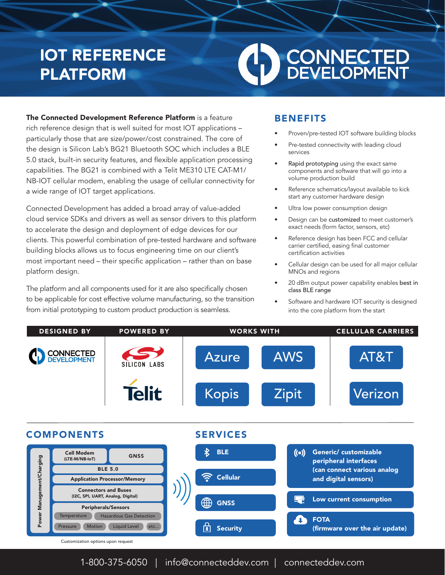## IOT REFERENCE PLATFORM

# **CONNECTED**<br>DEVELOPMENT

The Connected Development Reference Platform is a feature rich reference design that is well suited for most IOT applications – particularly those that are size/power/cost constrained. The core of the design is Silicon Lab's BG21 Bluetooth SOC which includes a BLE 5.0 stack, built-in security features, and flexible application processing capabilities. The BG21 is combined with a Telit ME310 LTE CAT-M1/ NB-IOT cellular modem, enabling the usage of cellular connectivity for a wide range of IOT target applications.

Connected Development has added a broad array of value-added cloud service SDKs and drivers as well as sensor drivers to this platform to accelerate the design and deployment of edge devices for our clients. This powerful combination of pre-tested hardware and software building blocks allows us to focus engineering time on our client's most important need – their specific application – rather than on base platform design.

The platform and all components used for it are also specifically chosen to be applicable for cost effective volume manufacturing, so the transition from initial prototyping to custom product production is seamless.

#### BENEFITS

- Proven/pre-tested IOT software building blocks
- Pre-tested connectivity with leading cloud services
- Rapid prototyping using the exact same components and software that will go into a volume production build
- Reference schematics/layout available to kick start any customer hardware design
- Ultra low power consumption design
- Design can be customized to meet customer's exact needs (form factor, sensors, etc)
- Reference design has been FCC and cellular carrier certified, easing final customer certification activities
- Cellular design can be used for all major cellular MNOs and regions
- 20 dBm output power capability enables best in class BLE range
- Software and hardware IOT security is designed into the core platform from the start



1-800-375-6050 | info@connecteddev.com | connecteddev.com